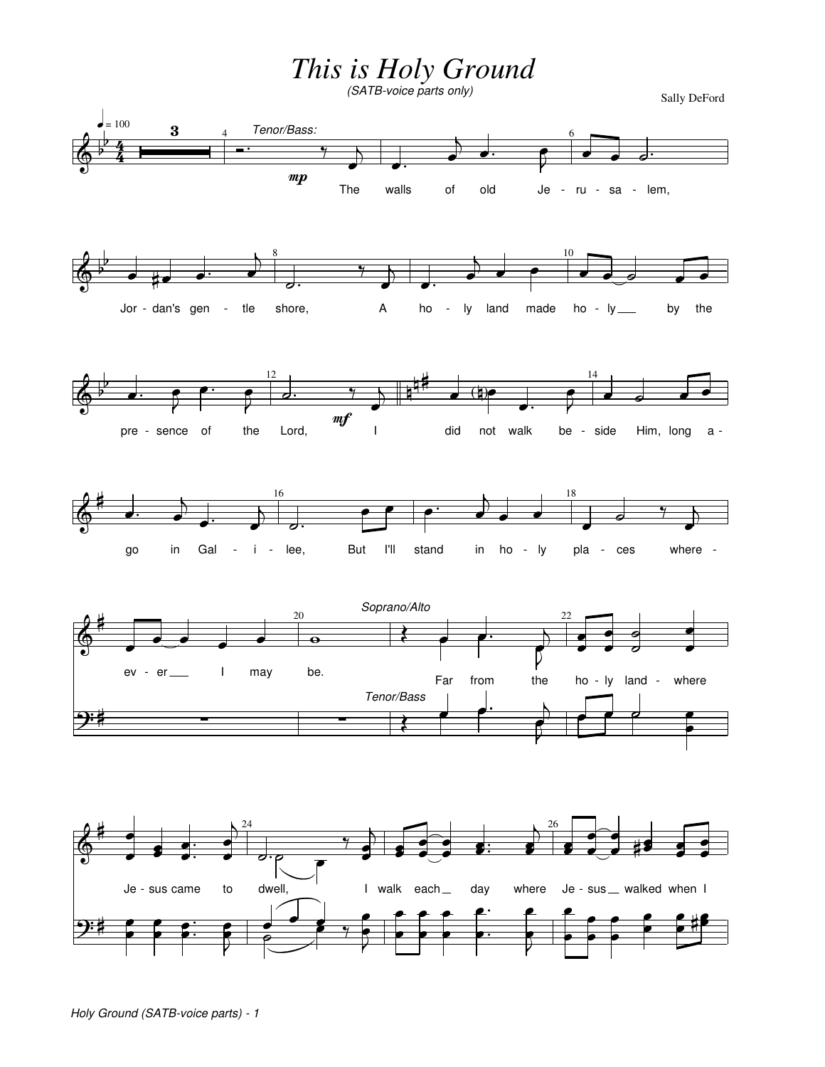This is Holy Ground

Sally DeFord

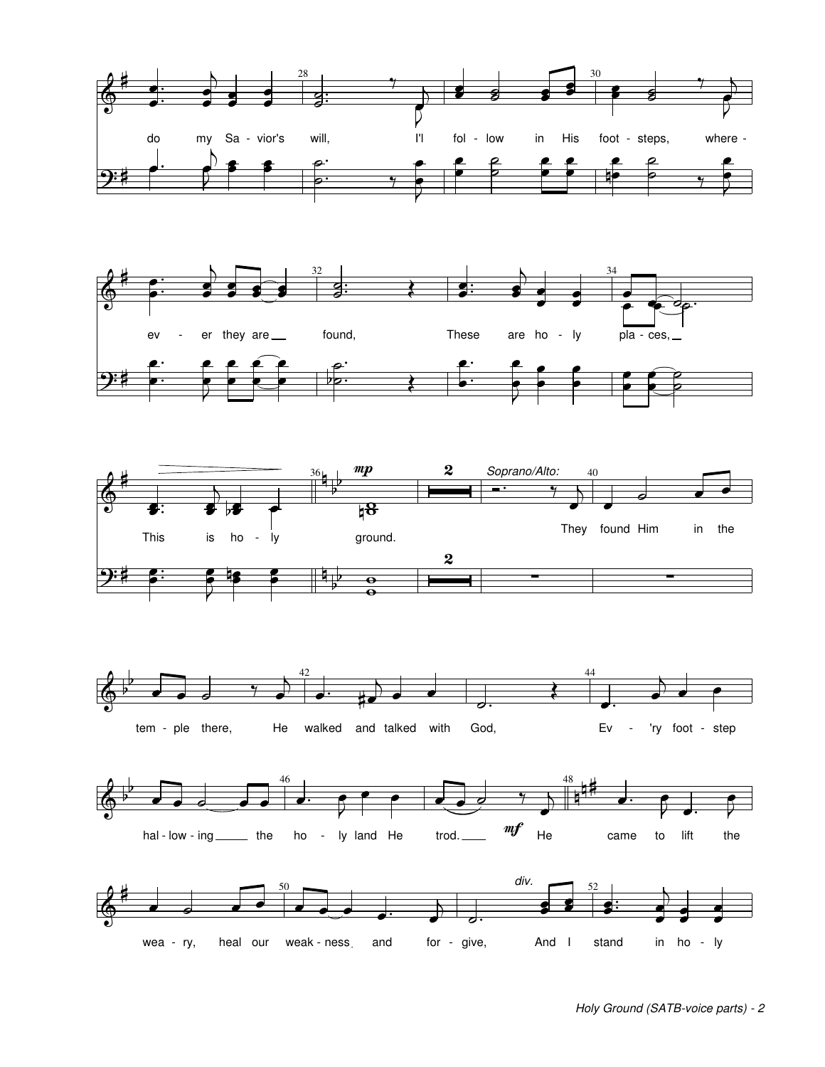









for - give,

And I

stand

and

wea - ry,

heal our weak-ness

in ho - ly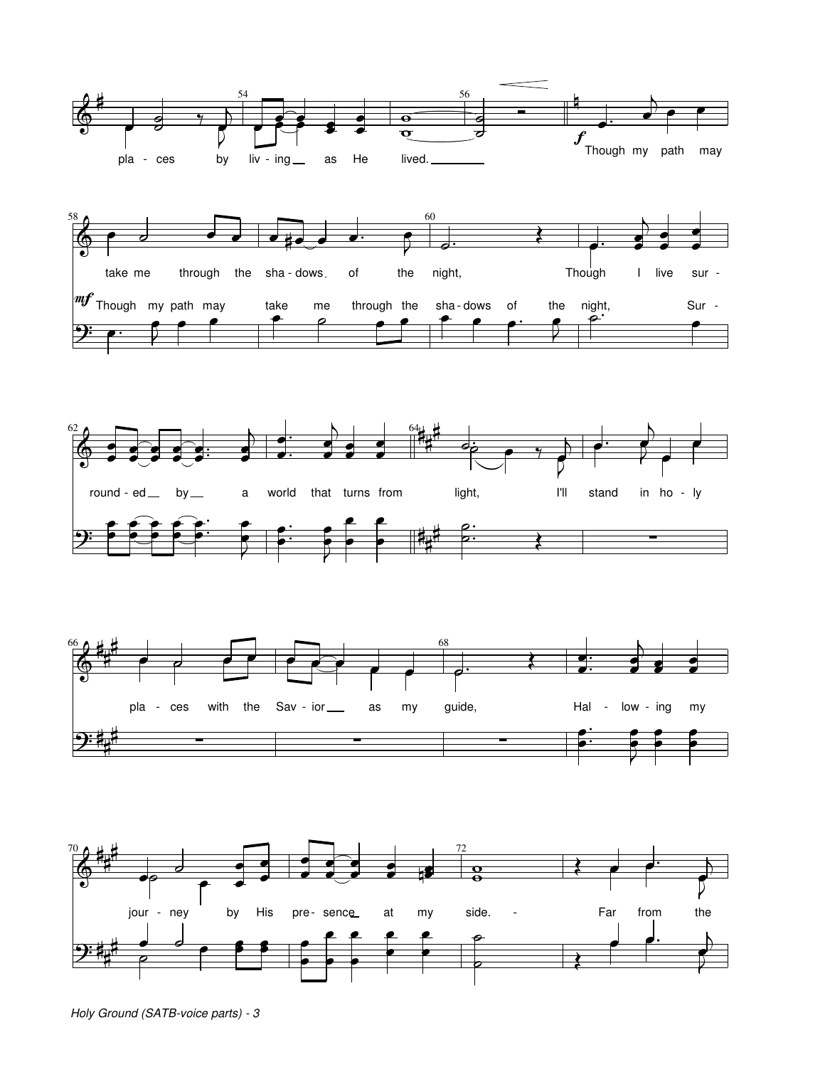